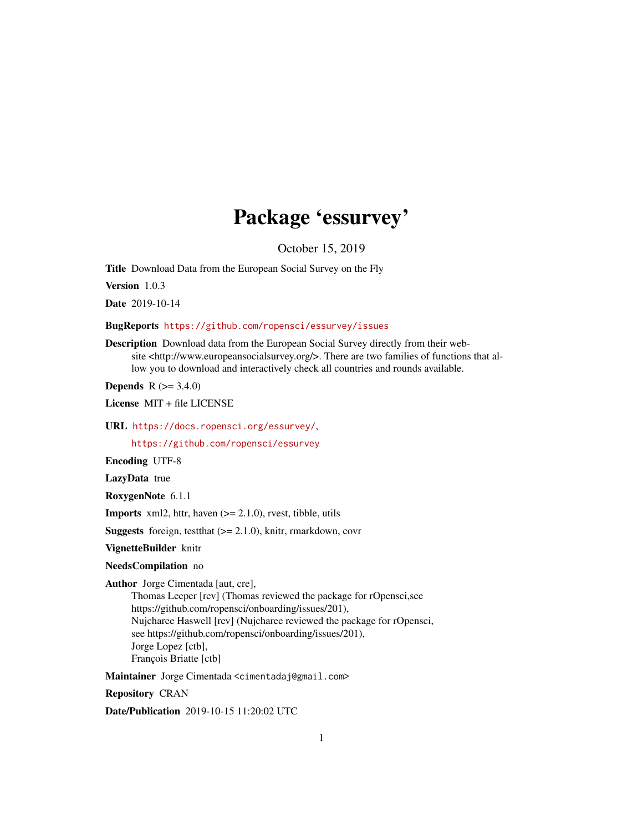## Package 'essurvey'

October 15, 2019

<span id="page-0-0"></span>Title Download Data from the European Social Survey on the Fly

Version 1.0.3

Date 2019-10-14

BugReports <https://github.com/ropensci/essurvey/issues>

Description Download data from the European Social Survey directly from their website <http://www.europeansocialsurvey.org/>. There are two families of functions that allow you to download and interactively check all countries and rounds available.

**Depends** R  $(>= 3.4.0)$ 

License MIT + file LICENSE

URL <https://docs.ropensci.org/essurvey/>,

<https://github.com/ropensci/essurvey>

Encoding UTF-8

LazyData true

RoxygenNote 6.1.1

**Imports** xml2, httr, haven  $(>= 2.1.0)$ , rvest, tibble, utils

**Suggests** foreign, test that  $(>= 2.1.0)$ , knitr, rmarkdown, covr

VignetteBuilder knitr

#### NeedsCompilation no

Author Jorge Cimentada [aut, cre],

Thomas Leeper [rev] (Thomas reviewed the package for rOpensci,see https://github.com/ropensci/onboarding/issues/201), Nujcharee Haswell [rev] (Nujcharee reviewed the package for rOpensci, see https://github.com/ropensci/onboarding/issues/201), Jorge Lopez [ctb], François Briatte [ctb]

Maintainer Jorge Cimentada <cimentadaj@gmail.com>

Repository CRAN

Date/Publication 2019-10-15 11:20:02 UTC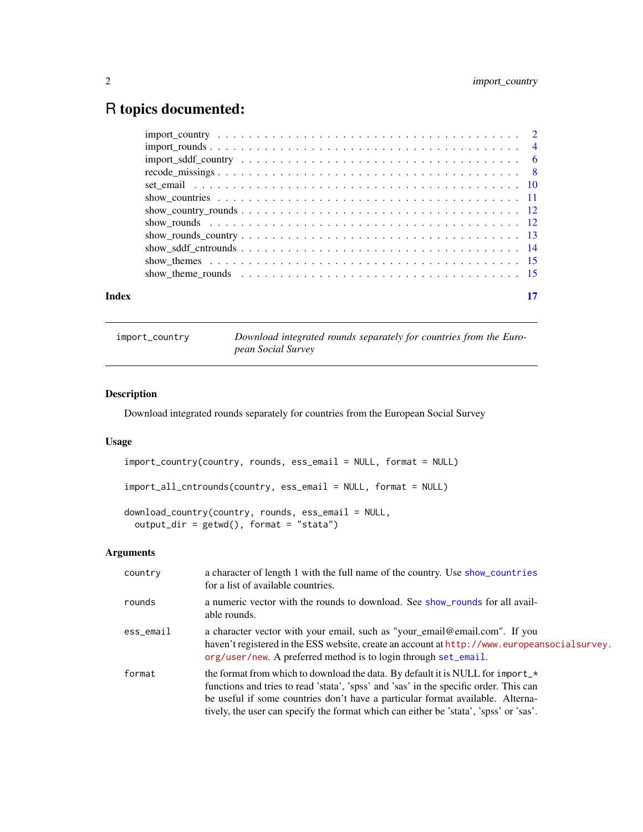## <span id="page-1-0"></span>R topics documented:

#### **Index** [17](#page-16-0)

<span id="page-1-1"></span>import\_country *Download integrated rounds separately for countries from the European Social Survey*

#### Description

Download integrated rounds separately for countries from the European Social Survey

#### Usage

```
import_country(country, rounds, ess_email = NULL, format = NULL)
import_all_cntrounds(country, ess_email = NULL, format = NULL)
download_country(country, rounds, ess_email = NULL,
 output_dir = getwd(), format = "stata")
```
#### Arguments

| country      | a character of length 1 with the full name of the country. Use show_countries<br>for a list of available countries.                                                                                                                                                                                                                                            |
|--------------|----------------------------------------------------------------------------------------------------------------------------------------------------------------------------------------------------------------------------------------------------------------------------------------------------------------------------------------------------------------|
| rounds       | a numeric vector with the rounds to download. See show rounds for all avail-<br>able rounds.                                                                                                                                                                                                                                                                   |
| $ess$ _email | a character vector with your email, such as "your_email@email.com". If you<br>haven't registered in the ESS website, create an account at http://www.europeansocialsurvey.<br>org/user/new. A preferred method is to login through set_email.                                                                                                                  |
| format       | the format from which to download the data. By default it is NULL for import $\rightarrow$<br>functions and tries to read 'stata', 'spss' and 'sas' in the specific order. This can<br>be useful if some countries don't have a particular format available. Alterna-<br>tively, the user can specify the format which can either be 'stata', 'spss' or 'sas'. |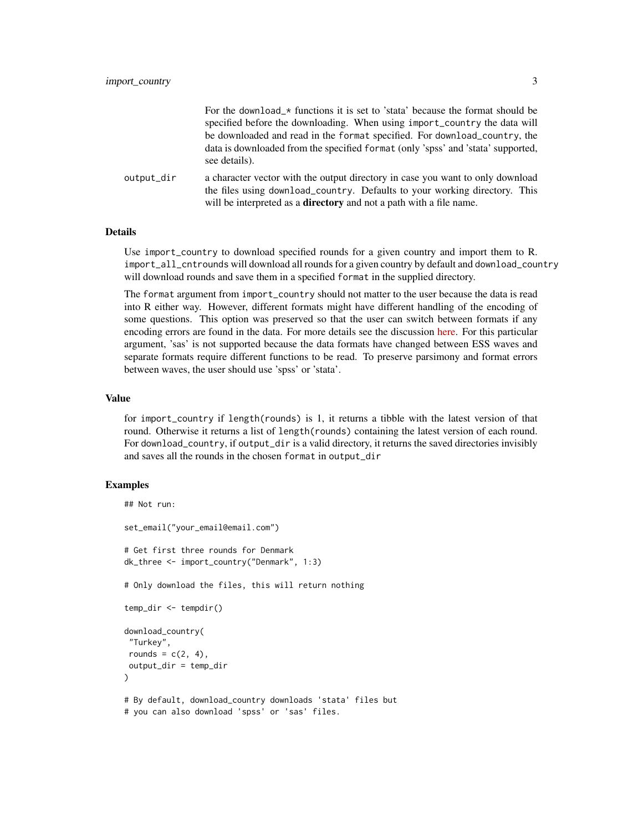|            | For the download_* functions it is set to 'stata' because the format should be                                                                                                                                                             |
|------------|--------------------------------------------------------------------------------------------------------------------------------------------------------------------------------------------------------------------------------------------|
|            | specified before the downloading. When using import_country the data will                                                                                                                                                                  |
|            | be downloaded and read in the format specified. For download_country, the                                                                                                                                                                  |
|            | data is downloaded from the specified format (only 'spss' and 'stata' supported,<br>see details).                                                                                                                                          |
| output_dir | a character vector with the output directory in case you want to only download<br>the files using download country. Defaults to your working directory. This<br>will be interpreted as a <b>directory</b> and not a path with a file name. |

#### Details

Use import\_country to download specified rounds for a given country and import them to R. import\_all\_cntrounds will download all rounds for a given country by default and download\_country will download rounds and save them in a specified format in the supplied directory.

The format argument from import\_country should not matter to the user because the data is read into R either way. However, different formats might have different handling of the encoding of some questions. This option was preserved so that the user can switch between formats if any encoding errors are found in the data. For more details see the discussion [here.](https://github.com/ropensci/essurvey/issues/11) For this particular argument, 'sas' is not supported because the data formats have changed between ESS waves and separate formats require different functions to be read. To preserve parsimony and format errors between waves, the user should use 'spss' or 'stata'.

#### Value

for import\_country if length(rounds) is 1, it returns a tibble with the latest version of that round. Otherwise it returns a list of length(rounds) containing the latest version of each round. For download\_country, if output\_dir is a valid directory, it returns the saved directories invisibly and saves all the rounds in the chosen format in output\_dir

#### Examples

```
## Not run:
set_email("your_email@email.com")
# Get first three rounds for Denmark
dk_three <- import_country("Denmark", 1:3)
# Only download the files, this will return nothing
temp_dir <- tempdir()
download_country(
 "Turkey",
rounds = c(2, 4),
output_dir = temp_dir
)
# By default, download_country downloads 'stata' files but
# you can also download 'spss' or 'sas' files.
```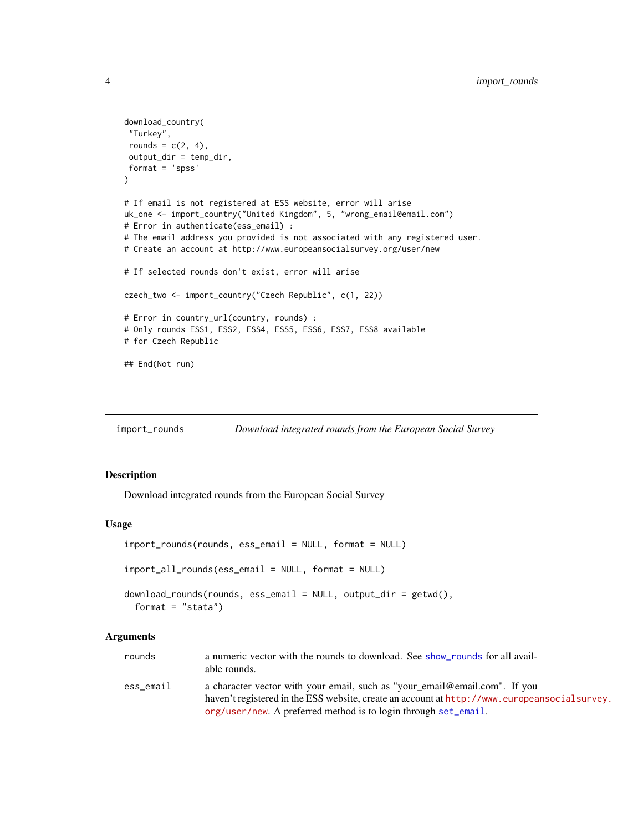```
download_country(
 "Turkey",
 rounds = c(2, 4),
 output_dir = temp_dir,
 format = 'spss'
\lambda# If email is not registered at ESS website, error will arise
uk_one <- import_country("United Kingdom", 5, "wrong_email@email.com")
# Error in authenticate(ess_email) :
# The email address you provided is not associated with any registered user.
# Create an account at http://www.europeansocialsurvey.org/user/new
# If selected rounds don't exist, error will arise
czech_two <- import_country("Czech Republic", c(1, 22))
# Error in country_url(country, rounds) :
# Only rounds ESS1, ESS2, ESS4, ESS5, ESS6, ESS7, ESS8 available
# for Czech Republic
## End(Not run)
```
<span id="page-3-1"></span>import\_rounds *Download integrated rounds from the European Social Survey*

#### Description

Download integrated rounds from the European Social Survey

#### Usage

```
import_rounds(rounds, ess_email = NULL, format = NULL)
import_all_rounds(ess_email = NULL, format = NULL)
download_rounds(rounds, ess_email = NULL, output_dir = getwd(),
  format = "stata")
```
#### Arguments

| rounds    | a numeric vector with the rounds to download. See show rounds for all avail-<br>able rounds.                                                                               |
|-----------|----------------------------------------------------------------------------------------------------------------------------------------------------------------------------|
| ess_email | a character vector with your email, such as "your_email@email.com". If you<br>haven't registered in the ESS website, create an account at http://www.europeansocialsurvey. |
|           | $org/user/new$ . A preferred method is to login through set email.                                                                                                         |

<span id="page-3-0"></span>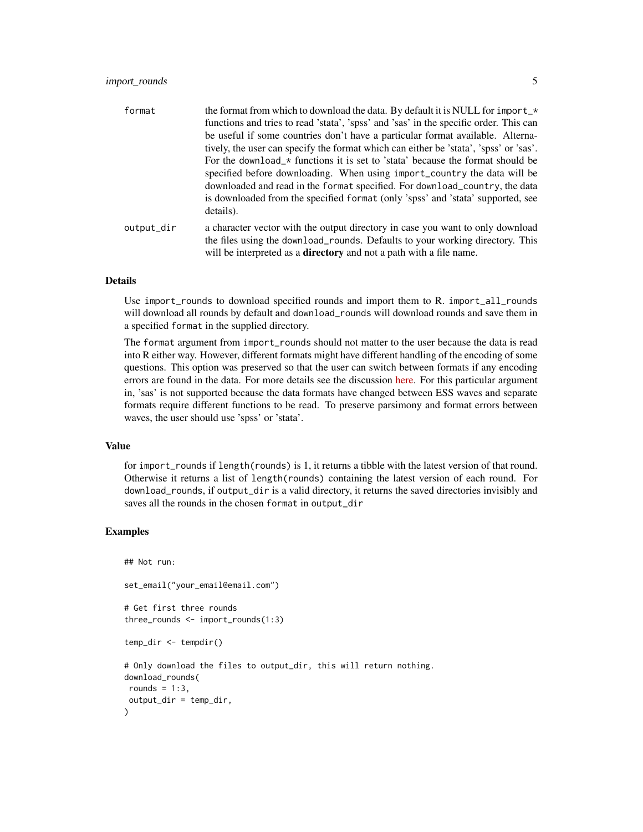#### import\_rounds 5

| format     | the format from which to download the data. By default it is NULL for import_ $\star$<br>functions and tries to read 'stata', 'spss' and 'sas' in the specific order. This can |
|------------|--------------------------------------------------------------------------------------------------------------------------------------------------------------------------------|
|            | be useful if some countries don't have a particular format available. Alterna-                                                                                                 |
|            | tively, the user can specify the format which can either be 'stata', 'spss' or 'sas'.                                                                                          |
|            | For the download $\star$ functions it is set to 'stata' because the format should be                                                                                           |
|            | specified before downloading. When using import_country the data will be                                                                                                       |
|            | downloaded and read in the format specified. For download_country, the data                                                                                                    |
|            | is downloaded from the specified format (only 'spss' and 'stata' supported, see<br>details).                                                                                   |
| output_dir | a character vector with the output directory in case you want to only download                                                                                                 |
|            | the files using the download_rounds. Defaults to your working directory. This<br>will be interpreted as a <b>directory</b> and not a path with a file name.                    |

#### Details

Use import\_rounds to download specified rounds and import them to R. import\_all\_rounds will download all rounds by default and download\_rounds will download rounds and save them in a specified format in the supplied directory.

The format argument from import\_rounds should not matter to the user because the data is read into R either way. However, different formats might have different handling of the encoding of some questions. This option was preserved so that the user can switch between formats if any encoding errors are found in the data. For more details see the discussion [here.](https://github.com/ropensci/essurvey/issues/11) For this particular argument in, 'sas' is not supported because the data formats have changed between ESS waves and separate formats require different functions to be read. To preserve parsimony and format errors between waves, the user should use 'spss' or 'stata'.

#### Value

for import\_rounds if length(rounds) is 1, it returns a tibble with the latest version of that round. Otherwise it returns a list of length(rounds) containing the latest version of each round. For download\_rounds, if output\_dir is a valid directory, it returns the saved directories invisibly and saves all the rounds in the chosen format in output\_dir

#### Examples

```
## Not run:
set_email("your_email@email.com")
# Get first three rounds
three_rounds <- import_rounds(1:3)
temp_dir <- tempdir()
# Only download the files to output_dir, this will return nothing.
download_rounds(
rounds = 1:3,
output_dir = temp_dir,
)
```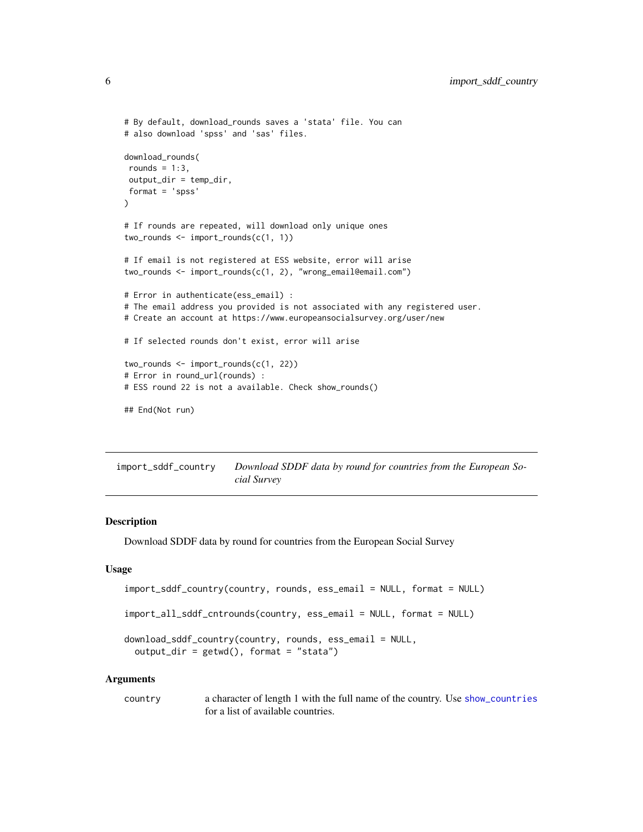```
# By default, download_rounds saves a 'stata' file. You can
# also download 'spss' and 'sas' files.
download_rounds(
rounds = 1:3,
output_dir = temp_dir,
format = 'spss'
)
# If rounds are repeated, will download only unique ones
two_rounds <- import_rounds(c(1, 1))
# If email is not registered at ESS website, error will arise
two_rounds <- import_rounds(c(1, 2), "wrong_email@email.com")
# Error in authenticate(ess_email) :
# The email address you provided is not associated with any registered user.
# Create an account at https://www.europeansocialsurvey.org/user/new
# If selected rounds don't exist, error will arise
two_rounds <- import_rounds(c(1, 22))
# Error in round_url(rounds) :
# ESS round 22 is not a available. Check show_rounds()
## End(Not run)
```
<span id="page-5-1"></span>import\_sddf\_country *Download SDDF data by round for countries from the European Social Survey*

#### Description

Download SDDF data by round for countries from the European Social Survey

#### Usage

```
import_sddf_country(country, rounds, ess_email = NULL, format = NULL)
```

```
import_all_sddf_cntrounds(country, ess_email = NULL, format = NULL)
```

```
download_sddf_country(country, rounds, ess_email = NULL,
  output\_dir = getwd(), format = "stata")
```
#### Arguments

country a character of length 1 with the full name of the country. Use [show\\_countries](#page-10-1) for a list of available countries.

<span id="page-5-0"></span>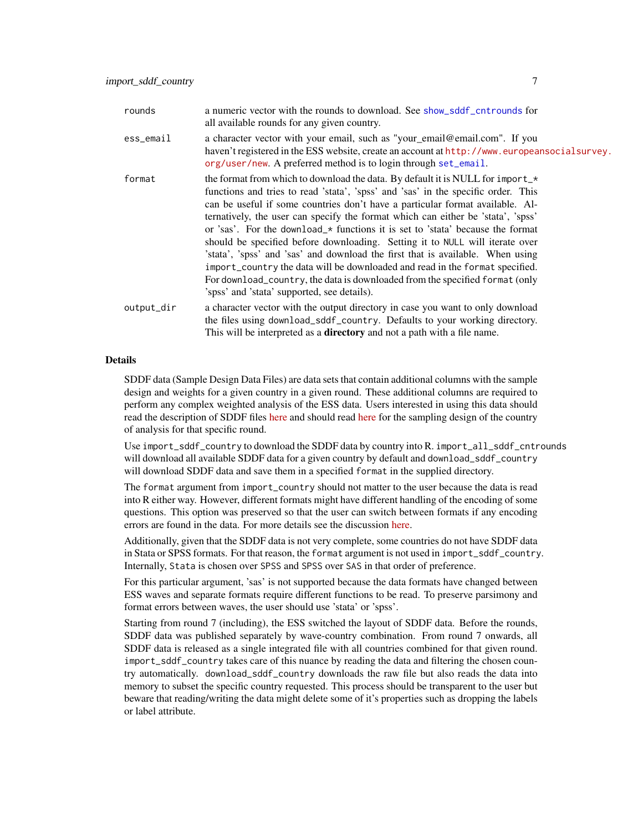<span id="page-6-0"></span>

| rounds     | a numeric vector with the rounds to download. See show_sddf_cntrounds for<br>all available rounds for any given country.                                                                                                                                                                                                                                                                                                                                                                                                                                                                                                                                                                                                                                                                                          |
|------------|-------------------------------------------------------------------------------------------------------------------------------------------------------------------------------------------------------------------------------------------------------------------------------------------------------------------------------------------------------------------------------------------------------------------------------------------------------------------------------------------------------------------------------------------------------------------------------------------------------------------------------------------------------------------------------------------------------------------------------------------------------------------------------------------------------------------|
| ess_email  | a character vector with your email, such as "your_email@email.com". If you<br>haven't registered in the ESS website, create an account at http://www.europeansocialsurvey.<br>org/user/new. A preferred method is to login through set_email.                                                                                                                                                                                                                                                                                                                                                                                                                                                                                                                                                                     |
| format     | the format from which to download the data. By default it is NULL for import_*<br>functions and tries to read 'stata', 'spss' and 'sas' in the specific order. This<br>can be useful if some countries don't have a particular format available. Al-<br>ternatively, the user can specify the format which can either be 'stata', 'spss'<br>or 'sas'. For the download $\star$ functions it is set to 'stata' because the format<br>should be specified before downloading. Setting it to NULL will iterate over<br>'stata', 'spss' and 'sas' and download the first that is available. When using<br>import_country the data will be downloaded and read in the format specified.<br>For download_country, the data is downloaded from the specified format (only<br>'spss' and 'stata' supported, see details). |
| output_dir | a character vector with the output directory in case you want to only download<br>the files using download_sddf_country. Defaults to your working directory.<br>This will be interpreted as a <b>directory</b> and not a path with a file name.                                                                                                                                                                                                                                                                                                                                                                                                                                                                                                                                                                   |

#### Details

SDDF data (Sample Design Data Files) are data sets that contain additional columns with the sample design and weights for a given country in a given round. These additional columns are required to perform any complex weighted analysis of the ESS data. Users interested in using this data should read the description of SDDF files [here](http://www.europeansocialsurvey.org/data/download_sample_data.html) and should read here for the sampling design of the country of analysis for that specific round.

Use import\_sddf\_country to download the SDDF data by country into R. import\_all\_sddf\_cntrounds will download all available SDDF data for a given country by default and download\_sddf\_country will download SDDF data and save them in a specified format in the supplied directory.

The format argument from import\_country should not matter to the user because the data is read into R either way. However, different formats might have different handling of the encoding of some questions. This option was preserved so that the user can switch between formats if any encoding errors are found in the data. For more details see the discussion [here.](https://github.com/ropensci/essurvey/issues/11)

Additionally, given that the SDDF data is not very complete, some countries do not have SDDF data in Stata or SPSS formats. For that reason, the format argument is not used in import\_sddf\_country. Internally, Stata is chosen over SPSS and SPSS over SAS in that order of preference.

For this particular argument, 'sas' is not supported because the data formats have changed between ESS waves and separate formats require different functions to be read. To preserve parsimony and format errors between waves, the user should use 'stata' or 'spss'.

Starting from round 7 (including), the ESS switched the layout of SDDF data. Before the rounds, SDDF data was published separately by wave-country combination. From round 7 onwards, all SDDF data is released as a single integrated file with all countries combined for that given round. import\_sddf\_country takes care of this nuance by reading the data and filtering the chosen country automatically. download\_sddf\_country downloads the raw file but also reads the data into memory to subset the specific country requested. This process should be transparent to the user but beware that reading/writing the data might delete some of it's properties such as dropping the labels or label attribute.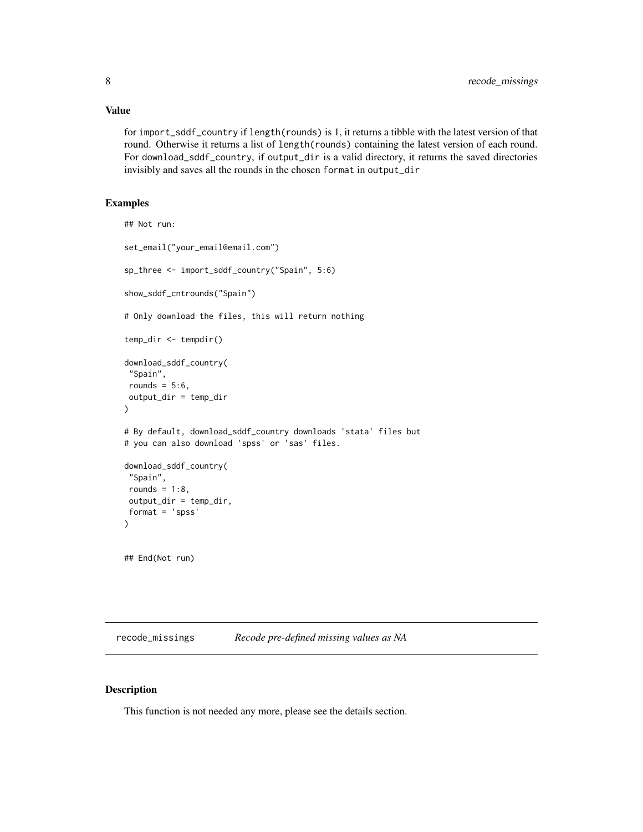<span id="page-7-0"></span>for import\_sddf\_country if length(rounds) is 1, it returns a tibble with the latest version of that round. Otherwise it returns a list of length(rounds) containing the latest version of each round. For download\_sddf\_country, if output\_dir is a valid directory, it returns the saved directories invisibly and saves all the rounds in the chosen format in output\_dir

#### Examples

```
## Not run:
set_email("your_email@email.com")
sp_three <- import_sddf_country("Spain", 5:6)
show_sddf_cntrounds("Spain")
# Only download the files, this will return nothing
temp_dir <- tempdir()
download_sddf_country(
"Spain",
rounds = 5:6,
output_dir = temp_dir
)
# By default, download_sddf_country downloads 'stata' files but
# you can also download 'spss' or 'sas' files.
download_sddf_country(
 "Spain",
rounds = 1:8,
output_dir = temp_dir,
format = 'spss'
\mathcal{L}## End(Not run)
```
recode\_missings *Recode pre-defined missing values as NA*

#### Description

This function is not needed any more, please see the details section.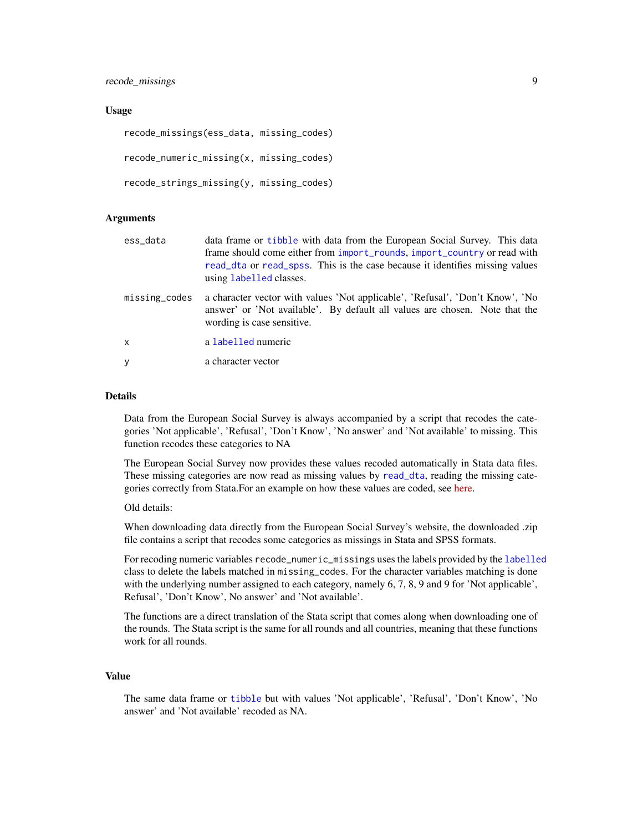<span id="page-8-0"></span>recode\_missings 9

#### Usage

```
recode_missings(ess_data, missing_codes)
recode_numeric_missing(x, missing_codes)
recode_strings_missing(y, missing_codes)
```
#### Arguments

| ess_data      | data frame or tibble with data from the European Social Survey. This data<br>frame should come either from import_rounds, import_country or read with<br>read_dta or read_spss. This is the case because it identifies missing values<br>using labelled classes. |
|---------------|------------------------------------------------------------------------------------------------------------------------------------------------------------------------------------------------------------------------------------------------------------------|
| missing_codes | a character vector with values 'Not applicable', 'Refusal', 'Don't Know', 'No<br>answer' or 'Not available'. By default all values are chosen. Note that the<br>wording is case sensitive.                                                                       |
| X             | a labelled numeric                                                                                                                                                                                                                                               |
| У             | a character vector                                                                                                                                                                                                                                               |

#### Details

Data from the European Social Survey is always accompanied by a script that recodes the categories 'Not applicable', 'Refusal', 'Don't Know', 'No answer' and 'Not available' to missing. This function recodes these categories to NA

The European Social Survey now provides these values recoded automatically in Stata data files. These missing categories are now read as missing values by [read\\_dta](#page-0-0), reading the missing categories correctly from Stata.For an example on how these values are coded, see [here.](https://github.com/ropensci/essurvey/issues/35)

#### Old details:

When downloading data directly from the European Social Survey's website, the downloaded .zip file contains a script that recodes some categories as missings in Stata and SPSS formats.

For recoding numeric variables recode\_numeric\_missings uses the labels provided by the [labelled](#page-0-0) class to delete the labels matched in missing\_codes. For the character variables matching is done with the underlying number assigned to each category, namely 6, 7, 8, 9 and 9 for 'Not applicable', Refusal', 'Don't Know', No answer' and 'Not available'.

The functions are a direct translation of the Stata script that comes along when downloading one of the rounds. The Stata script is the same for all rounds and all countries, meaning that these functions work for all rounds.

#### Value

The same data frame or [tibble](#page-0-0) but with values 'Not applicable', 'Refusal', 'Don't Know', 'No answer' and 'Not available' recoded as NA.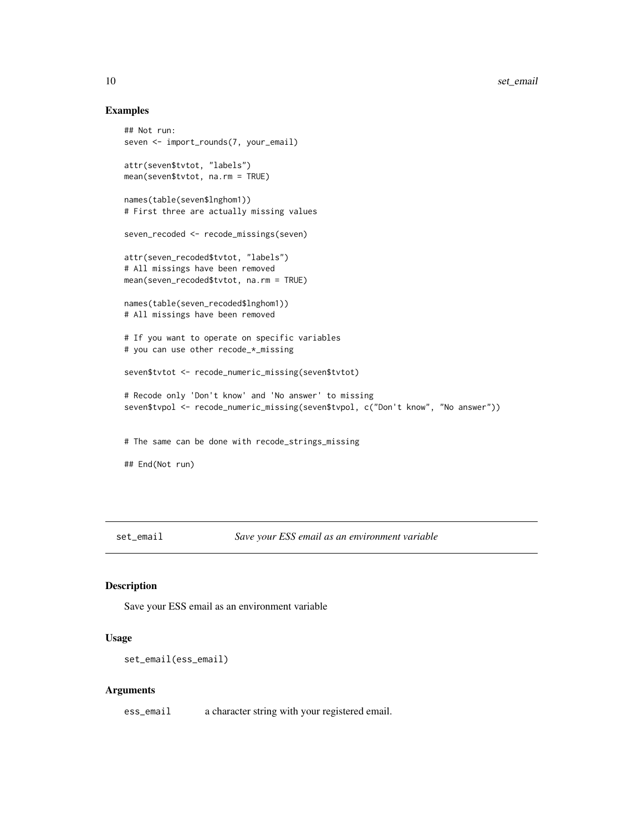#### Examples

```
## Not run:
seven <- import_rounds(7, your_email)
attr(seven$tvtot, "labels")
mean(seven$tvtot, na.rm = TRUE)
names(table(seven$lnghom1))
# First three are actually missing values
seven_recoded <- recode_missings(seven)
attr(seven_recoded$tvtot, "labels")
# All missings have been removed
mean(seven_recoded$tvtot, na.rm = TRUE)
names(table(seven_recoded$lnghom1))
# All missings have been removed
# If you want to operate on specific variables
# you can use other recode_*_missing
seven$tvtot <- recode_numeric_missing(seven$tvtot)
# Recode only 'Don't know' and 'No answer' to missing
seven$tvpol <- recode_numeric_missing(seven$tvpol, c("Don't know", "No answer"))
# The same can be done with recode_strings_missing
## End(Not run)
```
<span id="page-9-1"></span>set\_email *Save your ESS email as an environment variable*

#### Description

Save your ESS email as an environment variable

#### Usage

```
set_email(ess_email)
```
#### Arguments

ess\_email a character string with your registered email.

<span id="page-9-0"></span>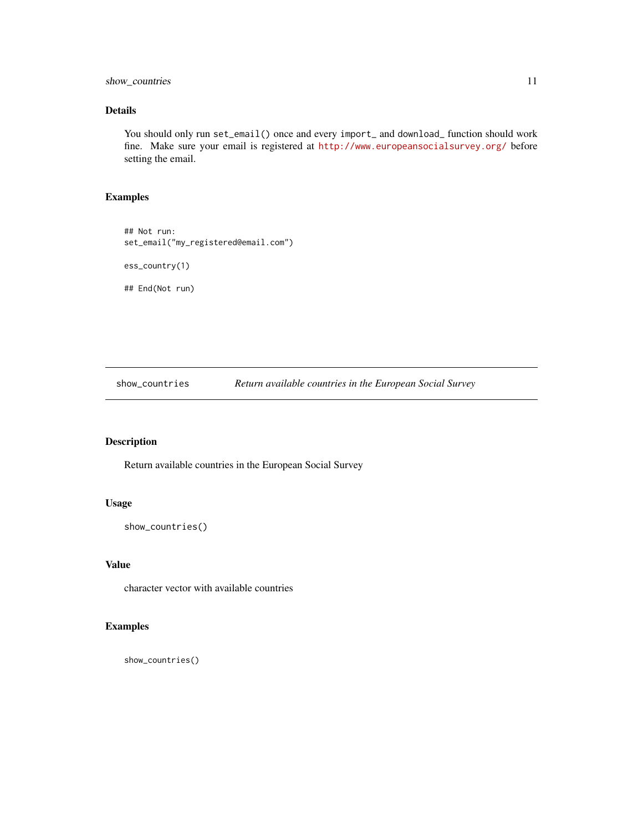<span id="page-10-0"></span>show\_countries 11

#### Details

You should only run set\_email() once and every import\_ and download\_ function should work fine. Make sure your email is registered at <http://www.europeansocialsurvey.org/> before setting the email.

#### Examples

## Not run: set\_email("my\_registered@email.com") ess\_country(1) ## End(Not run)

<span id="page-10-1"></span>show\_countries *Return available countries in the European Social Survey*

#### Description

Return available countries in the European Social Survey

#### Usage

```
show_countries()
```
#### Value

character vector with available countries

#### Examples

show\_countries()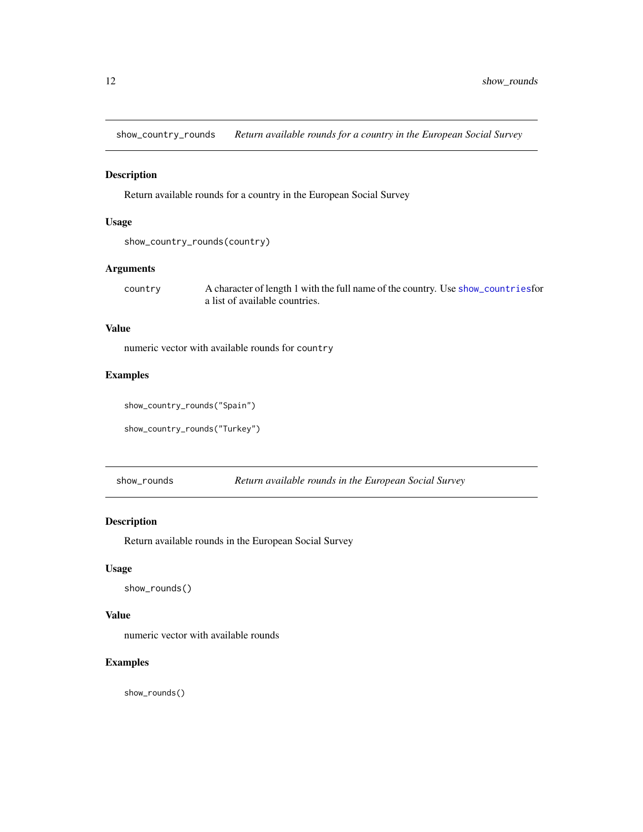<span id="page-11-2"></span><span id="page-11-0"></span>show\_country\_rounds *Return available rounds for a country in the European Social Survey*

#### Description

Return available rounds for a country in the European Social Survey

#### Usage

```
show_country_rounds(country)
```
#### Arguments

country A character of length 1 with the full name of the country. Use [show\\_countries](#page-10-1)for a list of available countries.

#### Value

numeric vector with available rounds for country

#### Examples

show\_country\_rounds("Spain")

show\_country\_rounds("Turkey")

<span id="page-11-1"></span>show\_rounds *Return available rounds in the European Social Survey*

#### Description

Return available rounds in the European Social Survey

#### Usage

show\_rounds()

#### Value

numeric vector with available rounds

#### Examples

show\_rounds()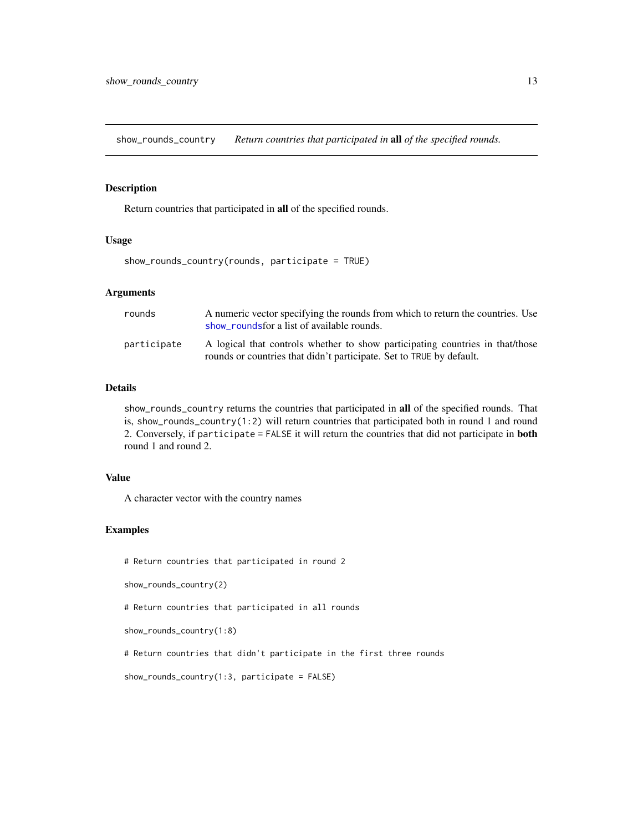<span id="page-12-0"></span>show\_rounds\_country *Return countries that participated in* all *of the specified rounds.*

#### Description

Return countries that participated in all of the specified rounds.

#### Usage

show\_rounds\_country(rounds, participate = TRUE)

#### Arguments

| rounds      | A numeric vector specifying the rounds from which to return the countries. Use<br>show roundsfor a list of available rounds.                          |
|-------------|-------------------------------------------------------------------------------------------------------------------------------------------------------|
| participate | A logical that controls whether to show participating countries in that/those<br>rounds or countries that didn't participate. Set to TRUE by default. |

#### Details

show\_rounds\_country returns the countries that participated in all of the specified rounds. That is, show\_rounds\_country(1:2) will return countries that participated both in round 1 and round 2. Conversely, if participate = FALSE it will return the countries that did not participate in both round 1 and round 2.

#### Value

A character vector with the country names

#### Examples

# Return countries that participated in round 2

show\_rounds\_country(2)

# Return countries that participated in all rounds

show\_rounds\_country(1:8)

# Return countries that didn't participate in the first three rounds

show\_rounds\_country(1:3, participate = FALSE)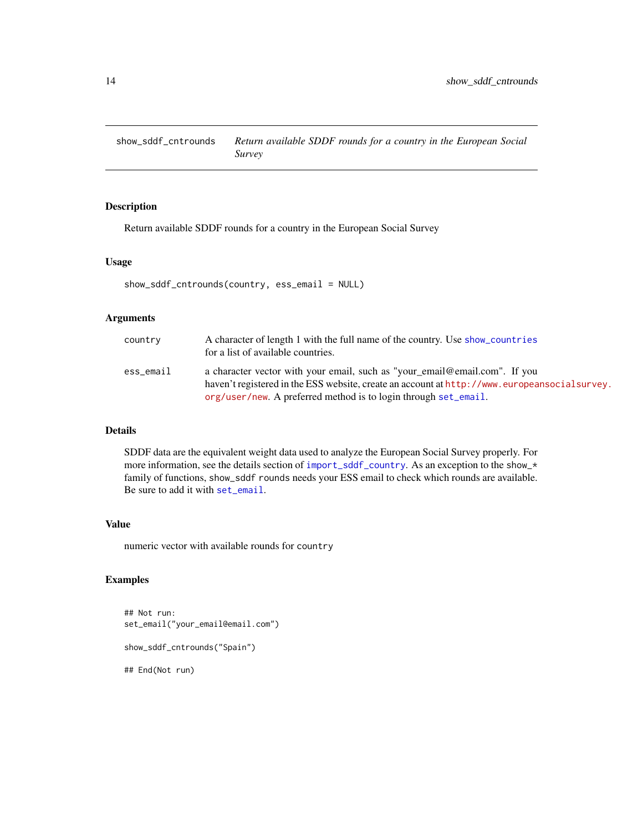<span id="page-13-1"></span><span id="page-13-0"></span>show\_sddf\_cntrounds *Return available SDDF rounds for a country in the European Social Survey*

#### Description

Return available SDDF rounds for a country in the European Social Survey

#### Usage

```
show_sddf_cntrounds(country, ess_email = NULL)
```
#### Arguments

| country   | A character of length 1 with the full name of the country. Use show_countries<br>for a list of available countries.                                                                                                                           |
|-----------|-----------------------------------------------------------------------------------------------------------------------------------------------------------------------------------------------------------------------------------------------|
| ess_email | a character vector with your email, such as "your_email@email.com". If you<br>haven't registered in the ESS website, create an account at http://www.europeansocialsurvey.<br>org/user/new. A preferred method is to login through set_email. |

#### Details

SDDF data are the equivalent weight data used to analyze the European Social Survey properly. For more information, see the details section of [import\\_sddf\\_country](#page-5-1). As an exception to the show\_\* family of functions, show\_sddf rounds needs your ESS email to check which rounds are available. Be sure to add it with [set\\_email](#page-9-1).

#### Value

numeric vector with available rounds for country

#### Examples

```
## Not run:
set_email("your_email@email.com")
show_sddf_cntrounds("Spain")
## End(Not run)
```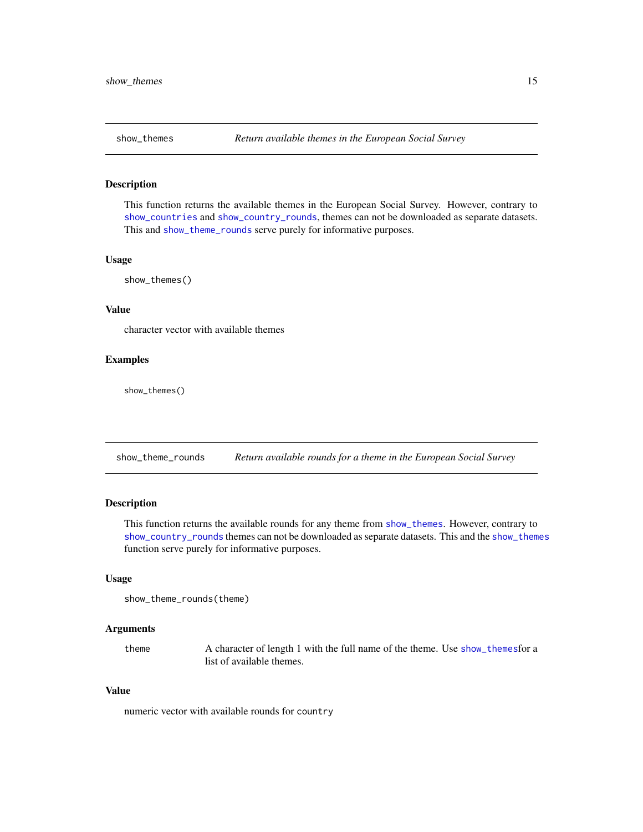<span id="page-14-2"></span><span id="page-14-0"></span>

#### **Description**

This function returns the available themes in the European Social Survey. However, contrary to [show\\_countries](#page-10-1) and [show\\_country\\_rounds](#page-11-2), themes can not be downloaded as separate datasets. This and [show\\_theme\\_rounds](#page-14-1) serve purely for informative purposes.

#### Usage

show\_themes()

#### Value

character vector with available themes

#### Examples

show\_themes()

<span id="page-14-1"></span>show\_theme\_rounds *Return available rounds for a theme in the European Social Survey*

#### Description

This function returns the available rounds for any theme from [show\\_themes](#page-14-2). However, contrary to [show\\_country\\_rounds](#page-11-2) themes can not be downloaded as separate datasets. This and the [show\\_themes](#page-14-2) function serve purely for informative purposes.

#### Usage

```
show_theme_rounds(theme)
```
#### Arguments

theme A character of length 1 with the full name of the theme. Use [show\\_themes](#page-14-2)for a list of available themes.

#### Value

numeric vector with available rounds for country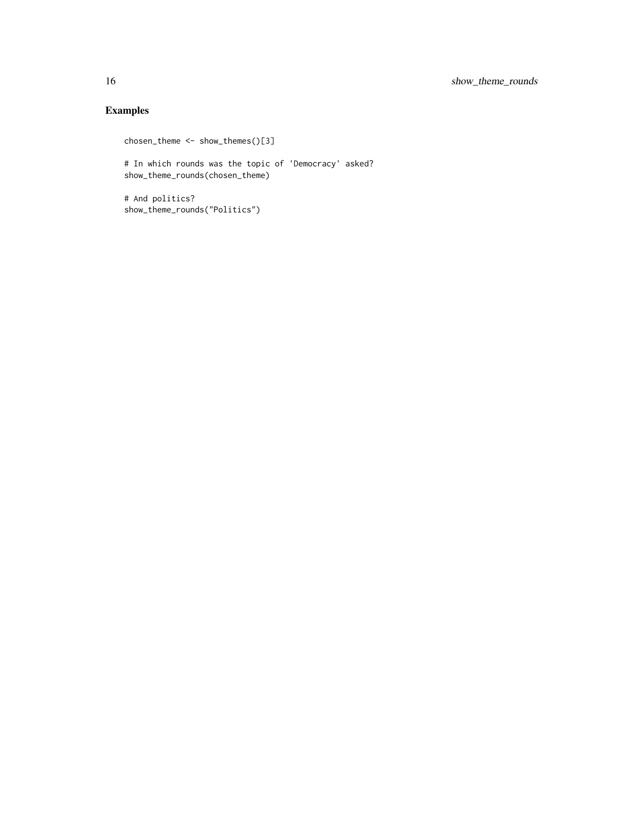### Examples

```
chosen_theme <- show_themes()[3]
```
# In which rounds was the topic of 'Democracy' asked? show\_theme\_rounds(chosen\_theme)

# And politics? show\_theme\_rounds("Politics")